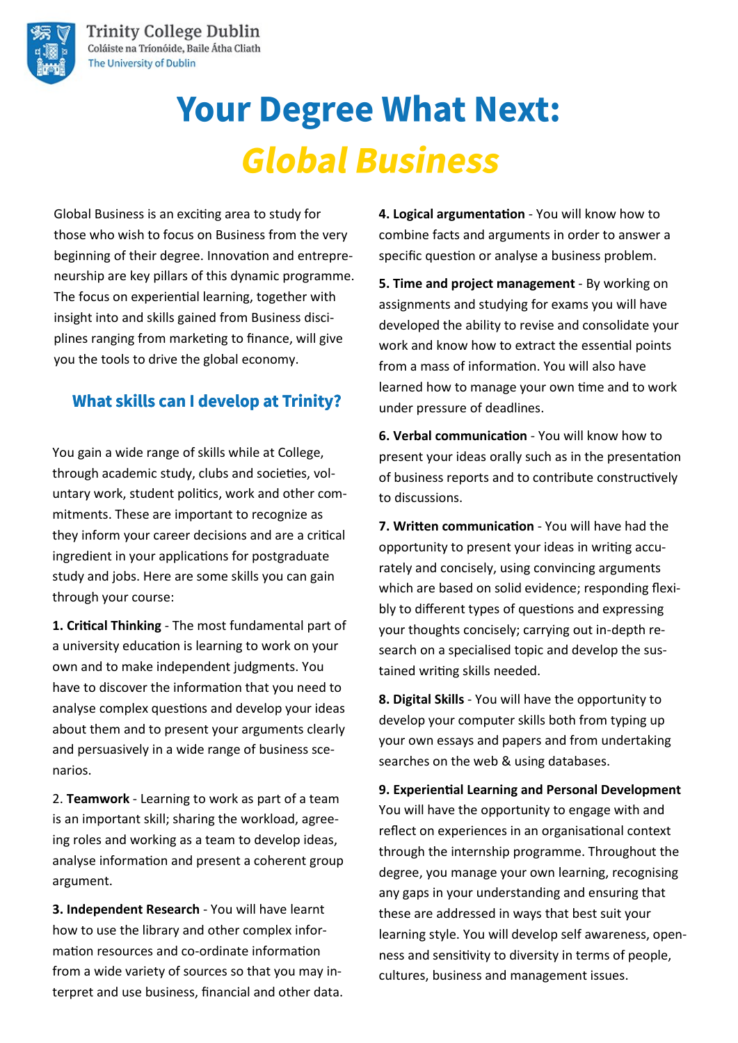

# **Your Degree What Next: Global Business**

Global Business is an exciting area to study for those who wish to focus on Business from the very beginning of their degree. Innovation and entrepreneurship are key pillars of this dynamic programme. The focus on experiential learning, together with insight into and skills gained from Business disciplines ranging from marketing to finance, will give you the tools to drive the global economy.

### **What skills can I develop at Trinity?**

You gain a wide range of skills while at College, through academic study, clubs and societies, voluntary work, student politics, work and other commitments. These are important to recognize as they inform your career decisions and are a critical ingredient in your applications for postgraduate study and jobs. Here are some skills you can gain through your course:

**1. Critical Thinking** - The most fundamental part of a university education is learning to work on your own and to make independent judgments. You have to discover the information that you need to analyse complex questions and develop your ideas about them and to present your arguments clearly and persuasively in a wide range of business scenarios.

2. **Teamwork** - Learning to work as part of a team is an important skill; sharing the workload, agreeing roles and working as a team to develop ideas, analyse information and present a coherent group argument.

**3. Independent Research** - You will have learnt how to use the library and other complex information resources and co-ordinate information from a wide variety of sources so that you may interpret and use business, financial and other data. **4. Logical argumentation** - You will know how to combine facts and arguments in order to answer a specific question or analyse a business problem.

**5. Time and project management** - By working on assignments and studying for exams you will have developed the ability to revise and consolidate your work and know how to extract the essential points from a mass of information. You will also have learned how to manage your own time and to work under pressure of deadlines.

**6. Verbal communication** - You will know how to present your ideas orally such as in the presentation of business reports and to contribute constructively to discussions.

**7. Written communication** - You will have had the opportunity to present your ideas in writing accurately and concisely, using convincing arguments which are based on solid evidence; responding flexibly to different types of questions and expressing your thoughts concisely; carrying out in-depth research on a specialised topic and develop the sustained writing skills needed.

**8. Digital Skills** - You will have the opportunity to develop your computer skills both from typing up your own essays and papers and from undertaking searches on the web & using databases.

**9. Experiential Learning and Personal Development**  You will have the opportunity to engage with and reflect on experiences in an organisational context through the internship programme. Throughout the degree, you manage your own learning, recognising any gaps in your understanding and ensuring that these are addressed in ways that best suit your learning style. You will develop self awareness, openness and sensitivity to diversity in terms of people, cultures, business and management issues.